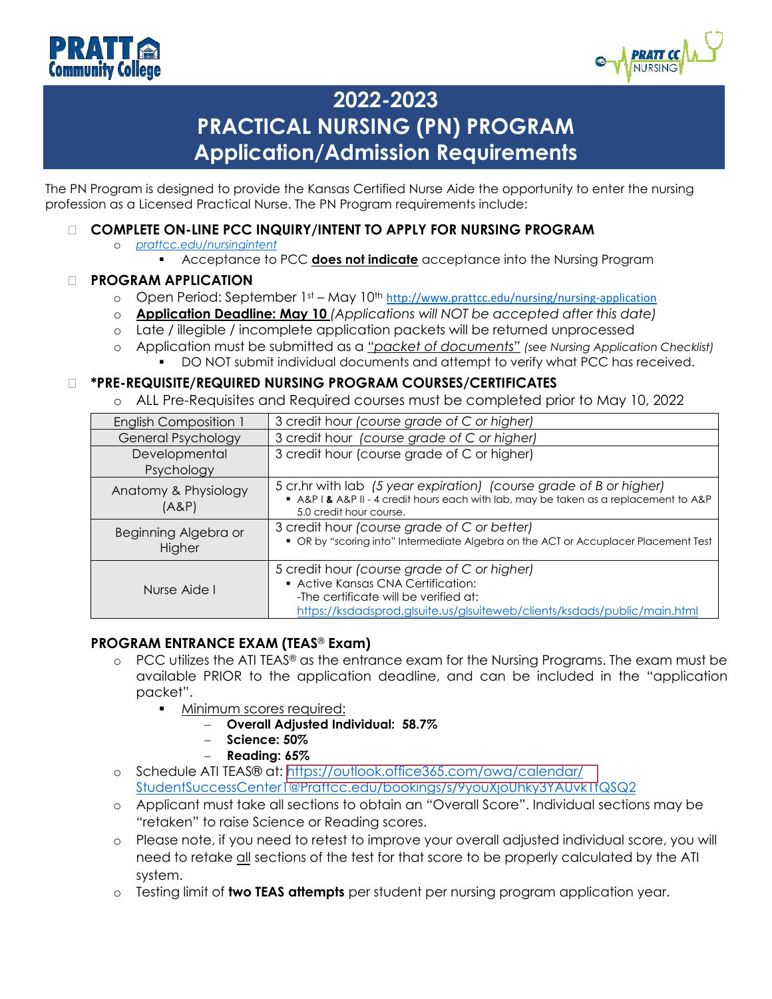



# **2022-2023 PRACTICAL NURSING (PN) PROGRAM Application/Admission Requirements**

The PN Program is designed to provide the Kansas Certified Nurse Aide the opportunity to enter the nursing profession as a Licensed Practical Nurse. The PN Program requirements include:

- **COMPLETE ON-LINE PCC INQUIRY/INTENT TO APPLY FOR NURSING PROGRAM**
	- o *[prattcc.edu/nursingintent](http://selfservice.prattcc.edu/PowerCampusSelfService/Admissions/InquiryForm/3)*
		- Acceptance to PCC **does not indicate** acceptance into the Nursing Program

#### **PROGRAM APPLICATION**

- o Open Period: September 1st May 10<sup>th</sup> [http://www.prattcc.edu/nursing/nursing-application](https://prattcc.edu/sites/default/files/pdfs/pcc-nursing-application-20222023_0.pdf)
- o **Application Deadline: May 10** *(Applications will NOT be accepted after this date)*
- o Late / illegible / incomplete application packets will be returned unprocessed
- o Application must be submitted as a *"packet of documents" (see Nursing Application Checklist)*
	- DO NOT submit individual documents and attempt to verify what PCC has received.

#### **\*PRE-REQUISITE/REQUIRED NURSING PROGRAM COURSES/CERTIFICATES**

o ALL Pre-Requisites and Required courses must be completed prior to May 10, 2022

| <b>English Composition 1</b>   | 3 credit hour (course grade of C or higher)                                                                                                                                                            |
|--------------------------------|--------------------------------------------------------------------------------------------------------------------------------------------------------------------------------------------------------|
| General Psychology             | 3 credit hour (course grade of C or higher)                                                                                                                                                            |
| Developmental<br>Psychology    | 3 credit hour (course grade of C or higher)                                                                                                                                                            |
| Anatomy & Physiology<br>(A&P)  | 5 cr.hr with lab (5 year expiration) (course grade of B or higher)<br>A&P I & A&P II - 4 credit hours each with lab, may be taken as a replacement to A&P<br>5.0 credit hour course.                   |
| Beginning Algebra or<br>Higher | 3 credit hour (course grade of C or better)<br>• OR by "scoring into" Intermediate Algebra on the ACT or Accuplacer Placement Test                                                                     |
| Nurse Aide I                   | 5 credit hour (course grade of C or higher)<br>• Active Kansas CNA Certification:<br>-The certificate will be verified at:<br>https://ksdadsprod.glsuite.us/glsuiteweb/clients/ksdads/public/main.html |

#### **PROGRAM ENTRANCE EXAM (TEAS**® **Exam)**

- $\circ$  PCC utilizes the ATI TEAS® as the entrance exam for the Nursing Programs. The exam must be available PRIOR to the application deadline, and can be included in the "application packet".
	- Minimum scores required:
		- − **Overall Adjusted Individual: 58.7%**
		- − **Science: 50%**
		- − **Reading: 65%**
- o Schedule ATI TEAS® at: [https://outlook.office365.com/owa/calendar/](https://outlook.office365.com/owa/calendar/StudentSuccessCenter1@Prattcc.edu/bookings/s/9youXjoUhky3YAUvk1fQSQ2) StudentSuccessCenter1@Prattcc.edu/bookings/s/9youXjoUhky3YAUvk1fQSQ2
- o Applicant must take all sections to obtain an "Overall Score". Individual sections may be "retaken" to raise Science or Reading scores.
- o Please note, if you need to retest to improve your overall adjusted individual score, you will need to retake all sections of the test for that score to be properly calculated by the ATI system.
- o Testing limit of **two TEAS attempts** per student per nursing program application year.